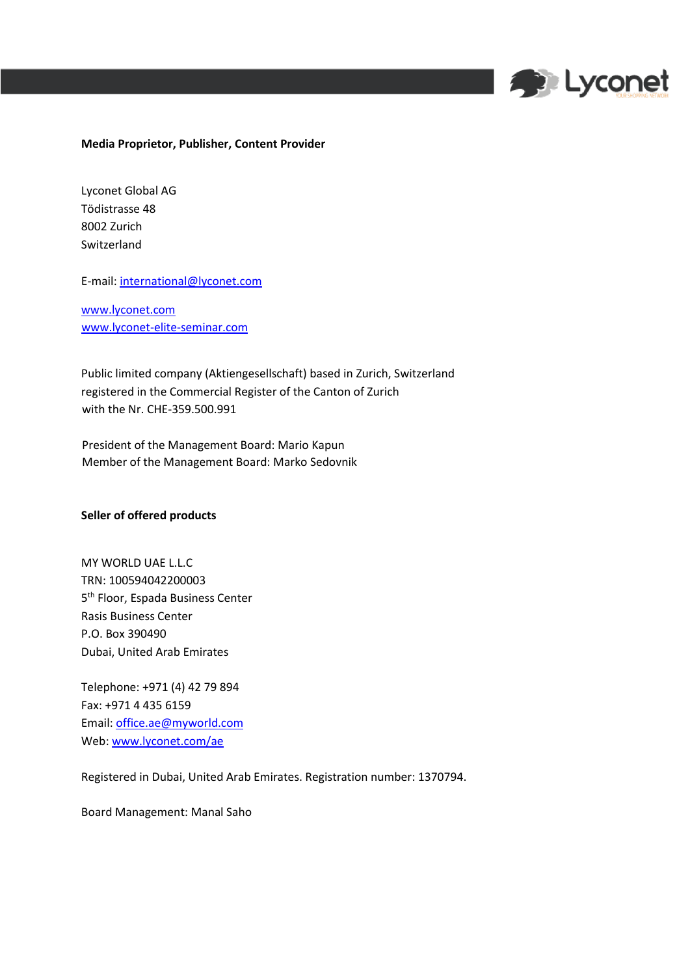

## **Media Proprietor, Publisher, Content Provider**

Lyconet Global AG Tödistrasse 48 8002 Zurich Switzerland

E-mail: international@lyconet.com

[www.lyconet.com](http://www.lyconet.com/) [www.lyconet](http://www.lyconet/)[-elite-seminar.com](http://www.lyconet-elite-seminar.com/)

Public limited company (Aktiengesellschaft) based in Zurich, Switzerland registered in the Commercial Register of the Canton of Zurich with the Nr. CHE-359.500.991

President of the Management Board: Mario Kapun Member of the Management Board: Marko Sedovnik

## **Seller of offered products**

MY WORLD UAE L.L.C TRN: 100594042200003 5<sup>th</sup> Floor, Espada Business Center Rasis Business Center P.O. Box 390490 Dubai, United Arab Emirates

Telephone: +971 (4) 42 79 894 Fax: +971 4 435 6159 Email: office.ae@myworld.com Web[: www.lyconet.com/ae](http://www.lyconet.com/ae)

Registered in Dubai, United Arab Emirates. Registration number: 1370794.

Board Management: Manal Saho